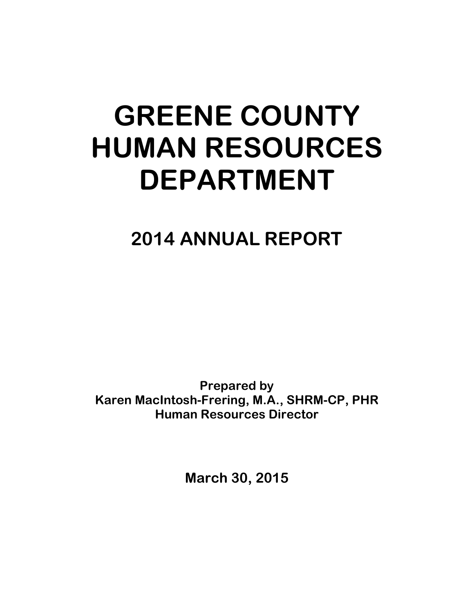# **GREENE COUNTY HUMAN RESOURCES DEPARTMENT**

**2014 ANNUAL REPORT**

**Prepared by Karen MacIntosh-Frering, M.A., SHRM-CP, PHR Human Resources Director**

**March 30, 2015**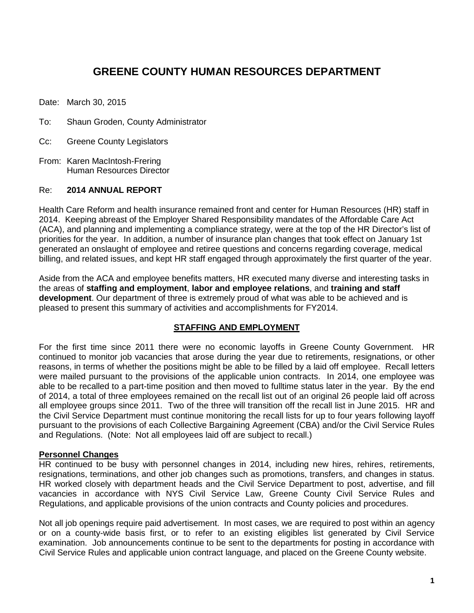# **GREENE COUNTY HUMAN RESOURCES DEPARTMENT**

Date: March 30, 2015

- To: Shaun Groden, County Administrator
- Cc: Greene County Legislators
- From: Karen MacIntosh-Frering Human Resources Director

#### Re: **2014 ANNUAL REPORT**

Health Care Reform and health insurance remained front and center for Human Resources (HR) staff in 2014. Keeping abreast of the Employer Shared Responsibility mandates of the Affordable Care Act (ACA), and planning and implementing a compliance strategy, were at the top of the HR Director's list of priorities for the year. In addition, a number of insurance plan changes that took effect on January 1st generated an onslaught of employee and retiree questions and concerns regarding coverage, medical billing, and related issues, and kept HR staff engaged through approximately the first quarter of the year.

Aside from the ACA and employee benefits matters, HR executed many diverse and interesting tasks in the areas of **staffing and employment**, **labor and employee relations**, and **training and staff development**. Our department of three is extremely proud of what was able to be achieved and is pleased to present this summary of activities and accomplishments for FY2014.

# **STAFFING AND EMPLOYMENT**

For the first time since 2011 there were no economic layoffs in Greene County Government. HR continued to monitor job vacancies that arose during the year due to retirements, resignations, or other reasons, in terms of whether the positions might be able to be filled by a laid off employee. Recall letters were mailed pursuant to the provisions of the applicable union contracts. In 2014, one employee was able to be recalled to a part-time position and then moved to fulltime status later in the year. By the end of 2014, a total of three employees remained on the recall list out of an original 26 people laid off across all employee groups since 2011. Two of the three will transition off the recall list in June 2015. HR and the Civil Service Department must continue monitoring the recall lists for up to four years following layoff pursuant to the provisions of each Collective Bargaining Agreement (CBA) and/or the Civil Service Rules and Regulations. (Note: Not all employees laid off are subject to recall.)

# **Personnel Changes**

HR continued to be busy with personnel changes in 2014, including new hires, rehires, retirements, resignations, terminations, and other job changes such as promotions, transfers, and changes in status. HR worked closely with department heads and the Civil Service Department to post, advertise, and fill vacancies in accordance with NYS Civil Service Law, Greene County Civil Service Rules and Regulations, and applicable provisions of the union contracts and County policies and procedures.

Not all job openings require paid advertisement. In most cases, we are required to post within an agency or on a county-wide basis first, or to refer to an existing eligibles list generated by Civil Service examination. Job announcements continue to be sent to the departments for posting in accordance with Civil Service Rules and applicable union contract language, and placed on the Greene County website.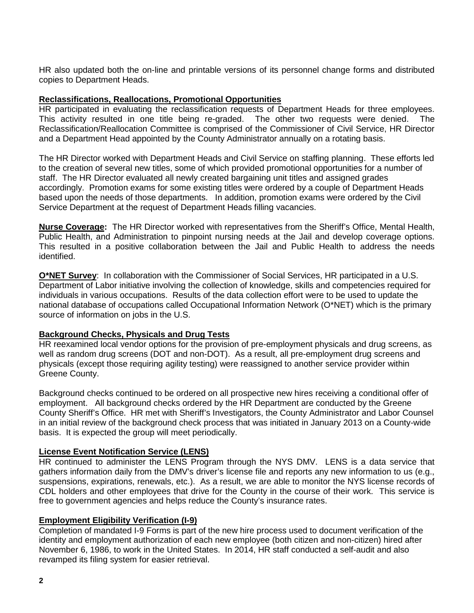HR also updated both the on-line and printable versions of its personnel change forms and distributed copies to Department Heads.

#### **Reclassifications, Reallocations, Promotional Opportunities**

HR participated in evaluating the reclassification requests of Department Heads for three employees. This activity resulted in one title being re-graded. The other two requests were denied. The Reclassification/Reallocation Committee is comprised of the Commissioner of Civil Service, HR Director and a Department Head appointed by the County Administrator annually on a rotating basis.

The HR Director worked with Department Heads and Civil Service on staffing planning. These efforts led to the creation of several new titles, some of which provided promotional opportunities for a number of staff. The HR Director evaluated all newly created bargaining unit titles and assigned grades accordingly. Promotion exams for some existing titles were ordered by a couple of Department Heads based upon the needs of those departments. In addition, promotion exams were ordered by the Civil Service Department at the request of Department Heads filling vacancies.

**Nurse Coverage:** The HR Director worked with representatives from the Sheriff's Office, Mental Health, Public Health, and Administration to pinpoint nursing needs at the Jail and develop coverage options. This resulted in a positive collaboration between the Jail and Public Health to address the needs identified.

**O\*NET Survey**: In collaboration with the Commissioner of Social Services, HR participated in a U.S. Department of Labor initiative involving the collection of knowledge, skills and competencies required for individuals in various occupations. Results of the data collection effort were to be used to update the national database of occupations called Occupational Information Network (O\*NET) which is the primary source of information on jobs in the U.S.

# **Background Checks, Physicals and Drug Tests**

HR reexamined local vendor options for the provision of pre-employment physicals and drug screens, as well as random drug screens (DOT and non-DOT). As a result, all pre-employment drug screens and physicals (except those requiring agility testing) were reassigned to another service provider within Greene County.

Background checks continued to be ordered on all prospective new hires receiving a conditional offer of employment. All background checks ordered by the HR Department are conducted by the Greene County Sheriff's Office. HR met with Sheriff's Investigators, the County Administrator and Labor Counsel in an initial review of the background check process that was initiated in January 2013 on a County-wide basis. It is expected the group will meet periodically.

# **License Event Notification Service (LENS)**

HR continued to administer the LENS Program through the NYS DMV. LENS is a data service that gathers information daily from the DMV's driver's license file and reports any new information to us (e.g., suspensions, expirations, renewals, etc.). As a result, we are able to monitor the NYS license records of CDL holders and other employees that drive for the County in the course of their work. This service is free to government agencies and helps reduce the County's insurance rates.

# **Employment Eligibility Verification (I-9)**

Completion of mandated I-9 Forms is part of the new hire process used to document verification of the identity and employment authorization of each new employee (both citizen and non-citizen) hired after November 6, 1986, to work in the United States. In 2014, HR staff conducted a self-audit and also revamped its filing system for easier retrieval.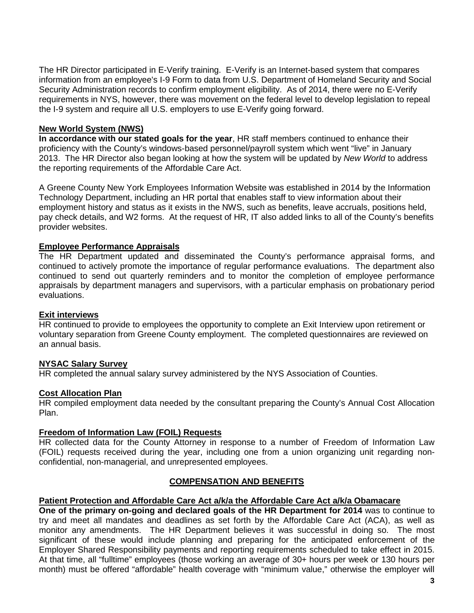The HR Director participated in E-Verify training. E-Verify is an Internet-based system that compares information from an employee's I-9 Form to data from U.S. Department of Homeland Security and Social Security Administration records to confirm employment eligibility. As of 2014, there were no E-Verify requirements in NYS, however, there was movement on the federal level to develop legislation to repeal the I-9 system and require all U.S. employers to use E-Verify going forward.

# **New World System (NWS)**

**In accordance with our stated goals for the year**, HR staff members continued to enhance their proficiency with the County's windows-based personnel/payroll system which went "live" in January 2013. The HR Director also began looking at how the system will be updated by *New World* to address the reporting requirements of the Affordable Care Act.

A Greene County New York Employees Information Website was established in 2014 by the Information Technology Department, including an HR portal that enables staff to view information about their employment history and status as it exists in the NWS, such as benefits, leave accruals, positions held, pay check details, and W2 forms. At the request of HR, IT also added links to all of the County's benefits provider websites.

#### **Employee Performance Appraisals**

The HR Department updated and disseminated the County's performance appraisal forms, and continued to actively promote the importance of regular performance evaluations. The department also continued to send out quarterly reminders and to monitor the completion of employee performance appraisals by department managers and supervisors, with a particular emphasis on probationary period evaluations.

#### **Exit interviews**

HR continued to provide to employees the opportunity to complete an Exit Interview upon retirement or voluntary separation from Greene County employment. The completed questionnaires are reviewed on an annual basis.

# **NYSAC Salary Survey**

HR completed the annual salary survey administered by the NYS Association of Counties.

#### **Cost Allocation Plan**

HR compiled employment data needed by the consultant preparing the County's Annual Cost Allocation Plan.

#### **Freedom of Information Law (FOIL) Requests**

HR collected data for the County Attorney in response to a number of Freedom of Information Law (FOIL) requests received during the year, including one from a union organizing unit regarding nonconfidential, non-managerial, and unrepresented employees.

# **COMPENSATION AND BENEFITS**

#### **Patient Protection and Affordable Care Act a/k/a the Affordable Care Act a/k/a Obamacare**

**One of the primary on-going and declared goals of the HR Department for 2014** was to continue to try and meet all mandates and deadlines as set forth by the Affordable Care Act (ACA), as well as monitor any amendments. The HR Department believes it was successful in doing so. The most significant of these would include planning and preparing for the anticipated enforcement of the Employer Shared Responsibility payments and reporting requirements scheduled to take effect in 2015. At that time, all "fulltime" employees (those working an average of 30+ hours per week or 130 hours per month) must be offered "affordable" health coverage with "minimum value," otherwise the employer will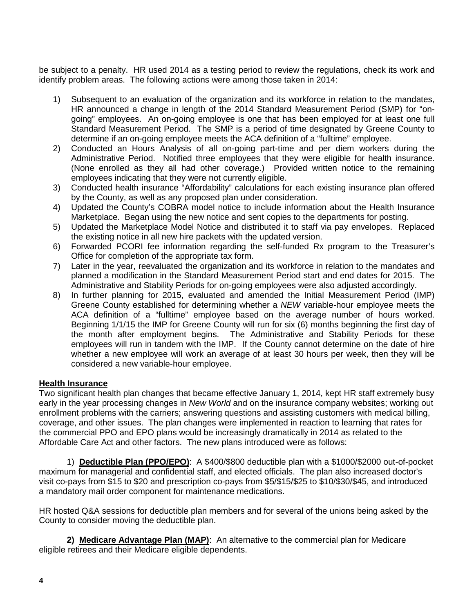be subject to a penalty. HR used 2014 as a testing period to review the regulations, check its work and identify problem areas. The following actions were among those taken in 2014:

- 1) Subsequent to an evaluation of the organization and its workforce in relation to the mandates, HR announced a change in length of the 2014 Standard Measurement Period (SMP) for "ongoing" employees. An on-going employee is one that has been employed for at least one full Standard Measurement Period. The SMP is a period of time designated by Greene County to determine if an on-going employee meets the ACA definition of a "fulltime" employee.
- 2) Conducted an Hours Analysis of all on-going part-time and per diem workers during the Administrative Period. Notified three employees that they were eligible for health insurance. (None enrolled as they all had other coverage.) Provided written notice to the remaining employees indicating that they were not currently eligible.
- 3) Conducted health insurance "Affordability" calculations for each existing insurance plan offered by the County, as well as any proposed plan under consideration.
- 4) Updated the County's COBRA model notice to include information about the Health Insurance Marketplace. Began using the new notice and sent copies to the departments for posting.
- 5) Updated the Marketplace Model Notice and distributed it to staff via pay envelopes. Replaced the existing notice in all new hire packets with the updated version.
- 6) Forwarded PCORI fee information regarding the self-funded Rx program to the Treasurer's Office for completion of the appropriate tax form.
- 7) Later in the year, reevaluated the organization and its workforce in relation to the mandates and planned a modification in the Standard Measurement Period start and end dates for 2015. The Administrative and Stability Periods for on-going employees were also adjusted accordingly.
- 8) In further planning for 2015, evaluated and amended the Initial Measurement Period (IMP) Greene County established for determining whether a *NEW* variable-hour employee meets the ACA definition of a "fulltime" employee based on the average number of hours worked. Beginning 1/1/15 the IMP for Greene County will run for six (6) months beginning the first day of the month after employment begins. The Administrative and Stability Periods for these employees will run in tandem with the IMP. If the County cannot determine on the date of hire whether a new employee will work an average of at least 30 hours per week, then they will be considered a new variable-hour employee.

# **Health Insurance**

Two significant health plan changes that became effective January 1, 2014, kept HR staff extremely busy early in the year processing changes in *New World* and on the insurance company websites; working out enrollment problems with the carriers; answering questions and assisting customers with medical billing, coverage, and other issues. The plan changes were implemented in reaction to learning that rates for the commercial PPO and EPO plans would be increasingly dramatically in 2014 as related to the Affordable Care Act and other factors. The new plans introduced were as follows:

1) **Deductible Plan (PPO/EPO)**: A \$400/\$800 deductible plan with a \$1000/\$2000 out-of-pocket maximum for managerial and confidential staff, and elected officials. The plan also increased doctor's visit co-pays from \$15 to \$20 and prescription co-pays from \$5/\$15/\$25 to \$10/\$30/\$45, and introduced a mandatory mail order component for maintenance medications.

HR hosted Q&A sessions for deductible plan members and for several of the unions being asked by the County to consider moving the deductible plan.

**2) Medicare Advantage Plan (MAP)**: An alternative to the commercial plan for Medicare eligible retirees and their Medicare eligible dependents.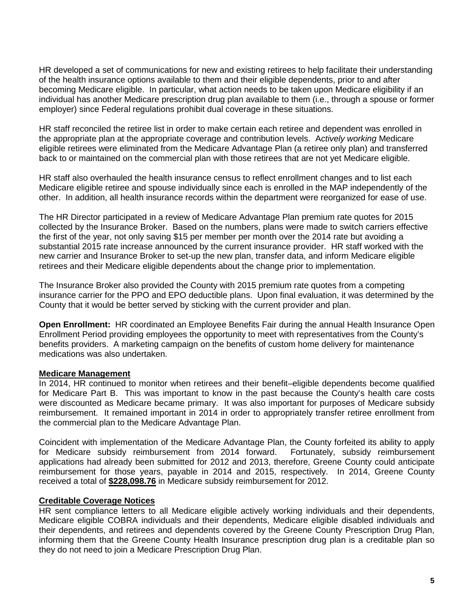HR developed a set of communications for new and existing retirees to help facilitate their understanding of the health insurance options available to them and their eligible dependents, prior to and after becoming Medicare eligible. In particular, what action needs to be taken upon Medicare eligibility if an individual has another Medicare prescription drug plan available to them (i.e., through a spouse or former employer) since Federal regulations prohibit dual coverage in these situations.

HR staff reconciled the retiree list in order to make certain each retiree and dependent was enrolled in the appropriate plan at the appropriate coverage and contribution levels. A*ctively working* Medicare eligible retirees were eliminated from the Medicare Advantage Plan (a retiree only plan) and transferred back to or maintained on the commercial plan with those retirees that are not yet Medicare eligible.

HR staff also overhauled the health insurance census to reflect enrollment changes and to list each Medicare eligible retiree and spouse individually since each is enrolled in the MAP independently of the other. In addition, all health insurance records within the department were reorganized for ease of use.

The HR Director participated in a review of Medicare Advantage Plan premium rate quotes for 2015 collected by the Insurance Broker. Based on the numbers, plans were made to switch carriers effective the first of the year, not only saving \$15 per member per month over the 2014 rate but avoiding a substantial 2015 rate increase announced by the current insurance provider. HR staff worked with the new carrier and Insurance Broker to set-up the new plan, transfer data, and inform Medicare eligible retirees and their Medicare eligible dependents about the change prior to implementation.

The Insurance Broker also provided the County with 2015 premium rate quotes from a competing insurance carrier for the PPO and EPO deductible plans. Upon final evaluation, it was determined by the County that it would be better served by sticking with the current provider and plan.

**Open Enrollment:** HR coordinated an Employee Benefits Fair during the annual Health Insurance Open Enrollment Period providing employees the opportunity to meet with representatives from the County's benefits providers. A marketing campaign on the benefits of custom home delivery for maintenance medications was also undertaken.

# **Medicare Management**

In 2014, HR continued to monitor when retirees and their benefit–eligible dependents become qualified for Medicare Part B. This was important to know in the past because the County's health care costs were discounted as Medicare became primary. It was also important for purposes of Medicare subsidy reimbursement. It remained important in 2014 in order to appropriately transfer retiree enrollment from the commercial plan to the Medicare Advantage Plan.

Coincident with implementation of the Medicare Advantage Plan, the County forfeited its ability to apply for Medicare subsidy reimbursement from 2014 forward. Fortunately, subsidy reimbursement applications had already been submitted for 2012 and 2013, therefore, Greene County could anticipate reimbursement for those years, payable in 2014 and 2015, respectively. In 2014, Greene County received a total of **\$228,098.76** in Medicare subsidy reimbursement for 2012.

# **Creditable Coverage Notices**

HR sent compliance letters to all Medicare eligible actively working individuals and their dependents, Medicare eligible COBRA individuals and their dependents, Medicare eligible disabled individuals and their dependents, and retirees and dependents covered by the Greene County Prescription Drug Plan, informing them that the Greene County Health Insurance prescription drug plan is a creditable plan so they do not need to join a Medicare Prescription Drug Plan.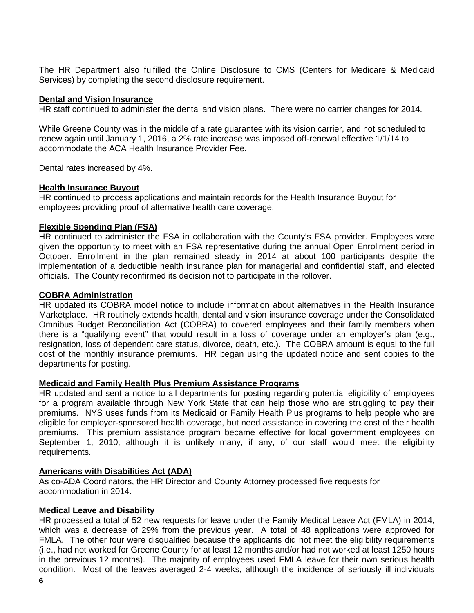The HR Department also fulfilled the Online Disclosure to CMS (Centers for Medicare & Medicaid Services) by completing the second disclosure requirement.

# **Dental and Vision Insurance**

HR staff continued to administer the dental and vision plans. There were no carrier changes for 2014.

While Greene County was in the middle of a rate guarantee with its vision carrier, and not scheduled to renew again until January 1, 2016, a 2% rate increase was imposed off-renewal effective 1/1/14 to accommodate the ACA Health Insurance Provider Fee.

Dental rates increased by 4%.

#### **Health Insurance Buyout**

HR continued to process applications and maintain records for the Health Insurance Buyout for employees providing proof of alternative health care coverage.

#### **Flexible Spending Plan (FSA)**

HR continued to administer the FSA in collaboration with the County's FSA provider. Employees were given the opportunity to meet with an FSA representative during the annual Open Enrollment period in October. Enrollment in the plan remained steady in 2014 at about 100 participants despite the implementation of a deductible health insurance plan for managerial and confidential staff, and elected officials. The County reconfirmed its decision not to participate in the rollover.

#### **COBRA Administration**

HR updated its COBRA model notice to include information about alternatives in the Health Insurance Marketplace. HR routinely extends health, dental and vision insurance coverage under the Consolidated Omnibus Budget Reconciliation Act (COBRA) to covered employees and their family members when there is a "qualifying event" that would result in a loss of coverage under an employer's plan (e.g., resignation, loss of dependent care status, divorce, death, etc.). The COBRA amount is equal to the full cost of the monthly insurance premiums. HR began using the updated notice and sent copies to the departments for posting.

# **Medicaid and Family Health Plus Premium Assistance Programs**

HR updated and sent a notice to all departments for posting regarding potential eligibility of employees for a program available through New York State that can help those who are struggling to pay their premiums. NYS uses funds from its Medicaid or Family Health Plus programs to help people who are eligible for employer-sponsored health coverage, but need assistance in covering the cost of their health premiums. This premium assistance program became effective for local government employees on September 1, 2010, although it is unlikely many, if any, of our staff would meet the eligibility requirements.

# **Americans with Disabilities Act (ADA)**

As co-ADA Coordinators, the HR Director and County Attorney processed five requests for accommodation in 2014.

# **Medical Leave and Disability**

HR processed a total of 52 new requests for leave under the Family Medical Leave Act (FMLA) in 2014, which was a decrease of 29% from the previous year. A total of 48 applications were approved for FMLA. The other four were disqualified because the applicants did not meet the eligibility requirements (i.e., had not worked for Greene County for at least 12 months and/or had not worked at least 1250 hours in the previous 12 months). The majority of employees used FMLA leave for their own serious health condition. Most of the leaves averaged 2-4 weeks, although the incidence of seriously ill individuals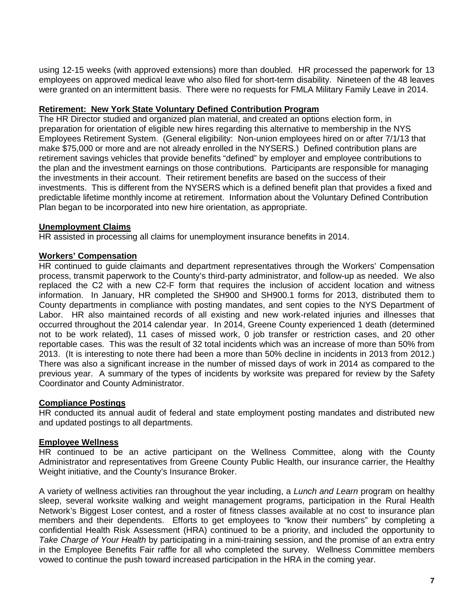using 12-15 weeks (with approved extensions) more than doubled. HR processed the paperwork for 13 employees on approved medical leave who also filed for short-term disability. Nineteen of the 48 leaves were granted on an intermittent basis. There were no requests for FMLA Military Family Leave in 2014.

# **Retirement: New York State Voluntary Defined Contribution Program**

The HR Director studied and organized plan material, and created an options election form, in preparation for orientation of eligible new hires regarding this alternative to membership in the NYS Employees Retirement System. (General eligibility: Non-union employees hired on or after 7/1/13 that make \$75,000 or more and are not already enrolled in the NYSERS.) Defined contribution plans are retirement savings vehicles that provide benefits "defined" by employer and employee contributions to the plan and the investment earnings on those contributions. Participants are responsible for managing the investments in their account. Their retirement benefits are based on the success of their investments. This is different from the NYSERS which is a defined benefit plan that provides a fixed and predictable lifetime monthly income at retirement. Information about the Voluntary Defined Contribution Plan began to be incorporated into new hire orientation, as appropriate.

# **Unemployment Claims**

HR assisted in processing all claims for unemployment insurance benefits in 2014.

# **Workers' Compensation**

HR continued to guide claimants and department representatives through the Workers' Compensation process, transmit paperwork to the County's third-party administrator, and follow-up as needed. We also replaced the C2 with a new C2-F form that requires the inclusion of accident location and witness information. In January, HR completed the SH900 and SH900.1 forms for 2013, distributed them to County departments in compliance with posting mandates, and sent copies to the NYS Department of Labor. HR also maintained records of all existing and new work-related injuries and illnesses that occurred throughout the 2014 calendar year. In 2014, Greene County experienced 1 death (determined not to be work related), 11 cases of missed work, 0 job transfer or restriction cases, and 20 other reportable cases. This was the result of 32 total incidents which was an increase of more than 50% from 2013. (It is interesting to note there had been a more than 50% decline in incidents in 2013 from 2012.) There was also a significant increase in the number of missed days of work in 2014 as compared to the previous year. A summary of the types of incidents by worksite was prepared for review by the Safety Coordinator and County Administrator.

# **Compliance Postings**

HR conducted its annual audit of federal and state employment posting mandates and distributed new and updated postings to all departments.

# **Employee Wellness**

HR continued to be an active participant on the Wellness Committee, along with the County Administrator and representatives from Greene County Public Health, our insurance carrier, the Healthy Weight initiative, and the County's Insurance Broker.

A variety of wellness activities ran throughout the year including, a *Lunch and Learn* program on healthy sleep, several worksite walking and weight management programs, participation in the Rural Health Network's Biggest Loser contest, and a roster of fitness classes available at no cost to insurance plan members and their dependents. Efforts to get employees to "know their numbers" by completing a confidential Health Risk Assessment (HRA) continued to be a priority, and included the opportunity to *Take Charge of Your Health* by participating in a mini-training session, and the promise of an extra entry in the Employee Benefits Fair raffle for all who completed the survey. Wellness Committee members vowed to continue the push toward increased participation in the HRA in the coming year.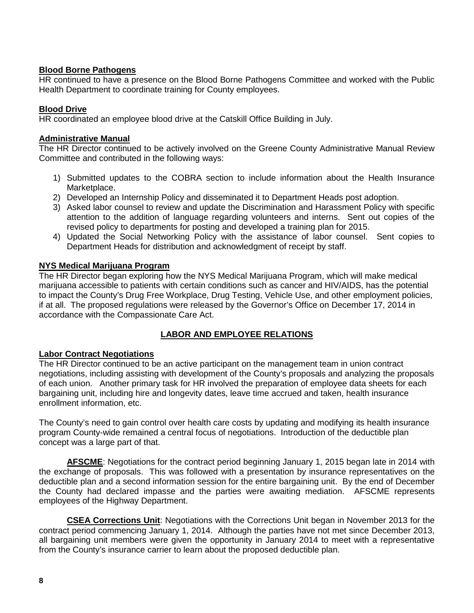# **Blood Borne Pathogens**

HR continued to have a presence on the Blood Borne Pathogens Committee and worked with the Public Health Department to coordinate training for County employees.

# **Blood Drive**

HR coordinated an employee blood drive at the Catskill Office Building in July.

# **Administrative Manual**

The HR Director continued to be actively involved on the Greene County Administrative Manual Review Committee and contributed in the following ways:

- 1) Submitted updates to the COBRA section to include information about the Health Insurance Marketplace.
- 2) Developed an Internship Policy and disseminated it to Department Heads post adoption.
- 3) Asked labor counsel to review and update the Discrimination and Harassment Policy with specific attention to the addition of language regarding volunteers and interns. Sent out copies of the revised policy to departments for posting and developed a training plan for 2015.
- 4) Updated the Social Networking Policy with the assistance of labor counsel. Sent copies to Department Heads for distribution and acknowledgment of receipt by staff.

# **NYS Medical Marijuana Program**

The HR Director began exploring how the NYS Medical Marijuana Program, which will make medical marijuana accessible to patients with certain conditions such as cancer and HIV/AIDS, has the potential to impact the County's Drug Free Workplace, Drug Testing, Vehicle Use, and other employment policies, if at all. The proposed regulations were released by the Governor's Office on December 17, 2014 in accordance with the Compassionate Care Act.

# **LABOR AND EMPLOYEE RELATIONS**

# **Labor Contract Negotiations**

The HR Director continued to be an active participant on the management team in union contract negotiations, including assisting with development of the County's proposals and analyzing the proposals of each union. Another primary task for HR involved the preparation of employee data sheets for each bargaining unit, including hire and longevity dates, leave time accrued and taken, health insurance enrollment information, etc.

The County's need to gain control over health care costs by updating and modifying its health insurance program County-wide remained a central focus of negotiations. Introduction of the deductible plan concept was a large part of that.

**AFSCME**: Negotiations for the contract period beginning January 1, 2015 began late in 2014 with the exchange of proposals. This was followed with a presentation by insurance representatives on the deductible plan and a second information session for the entire bargaining unit. By the end of December the County had declared impasse and the parties were awaiting mediation. AFSCME represents employees of the Highway Department.

**CSEA Corrections Unit**: Negotiations with the Corrections Unit began in November 2013 for the contract period commencing January 1, 2014. Although the parties have not met since December 2013, all bargaining unit members were given the opportunity in January 2014 to meet with a representative from the County's insurance carrier to learn about the proposed deductible plan.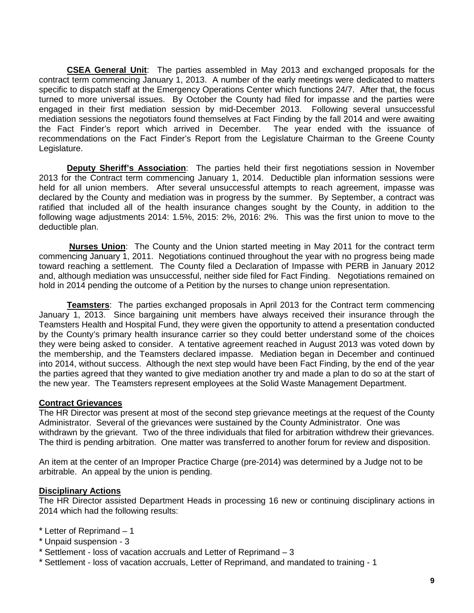**CSEA General Unit**: The parties assembled in May 2013 and exchanged proposals for the contract term commencing January 1, 2013. A number of the early meetings were dedicated to matters specific to dispatch staff at the Emergency Operations Center which functions 24/7. After that, the focus turned to more universal issues. By October the County had filed for impasse and the parties were engaged in their first mediation session by mid-December 2013. Following several unsuccessful mediation sessions the negotiators found themselves at Fact Finding by the fall 2014 and were awaiting the Fact Finder's report which arrived in December. The year ended with the issuance of recommendations on the Fact Finder's Report from the Legislature Chairman to the Greene County Legislature.

**Deputy Sheriff's Association**: The parties held their first negotiations session in November 2013 for the Contract term commencing January 1, 2014. Deductible plan information sessions were held for all union members. After several unsuccessful attempts to reach agreement, impasse was declared by the County and mediation was in progress by the summer. By September, a contract was ratified that included all of the health insurance changes sought by the County, in addition to the following wage adjustments 2014: 1.5%, 2015: 2%, 2016: 2%. This was the first union to move to the deductible plan.

**Nurses Union**: The County and the Union started meeting in May 2011 for the contract term commencing January 1, 2011. Negotiations continued throughout the year with no progress being made toward reaching a settlement. The County filed a Declaration of Impasse with PERB in January 2012 and, although mediation was unsuccessful, neither side filed for Fact Finding. Negotiations remained on hold in 2014 pending the outcome of a Petition by the nurses to change union representation.

**Teamsters**: The parties exchanged proposals in April 2013 for the Contract term commencing January 1, 2013. Since bargaining unit members have always received their insurance through the Teamsters Health and Hospital Fund, they were given the opportunity to attend a presentation conducted by the County's primary health insurance carrier so they could better understand some of the choices they were being asked to consider. A tentative agreement reached in August 2013 was voted down by the membership, and the Teamsters declared impasse. Mediation began in December and continued into 2014, without success. Although the next step would have been Fact Finding, by the end of the year the parties agreed that they wanted to give mediation another try and made a plan to do so at the start of the new year. The Teamsters represent employees at the Solid Waste Management Department.

# **Contract Grievances**

The HR Director was present at most of the second step grievance meetings at the request of the County Administrator. Several of the grievances were sustained by the County Administrator. One was withdrawn by the grievant. Two of the three individuals that filed for arbitration withdrew their grievances. The third is pending arbitration. One matter was transferred to another forum for review and disposition.

An item at the center of an Improper Practice Charge (pre-2014) was determined by a Judge not to be arbitrable. An appeal by the union is pending.

# **Disciplinary Actions**

The HR Director assisted Department Heads in processing 16 new or continuing disciplinary actions in 2014 which had the following results:

- \* Letter of Reprimand 1
- \* Unpaid suspension 3
- \* Settlement loss of vacation accruals and Letter of Reprimand 3
- \* Settlement loss of vacation accruals, Letter of Reprimand, and mandated to training 1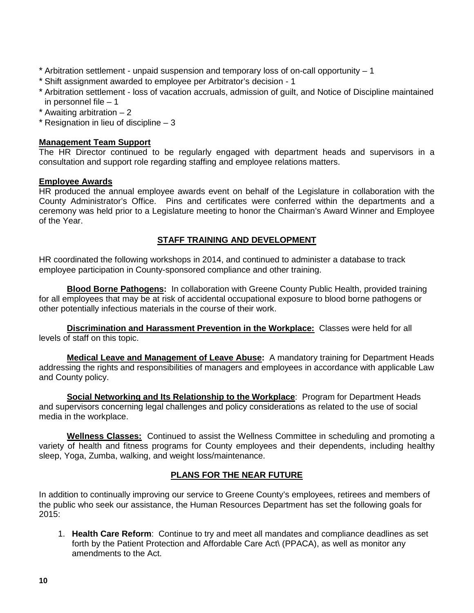- \* Arbitration settlement unpaid suspension and temporary loss of on-call opportunity 1
- \* Shift assignment awarded to employee per Arbitrator's decision 1
- \* Arbitration settlement loss of vacation accruals, admission of guilt, and Notice of Discipline maintained in personnel file  $-1$
- \* Awaiting arbitration 2
- $*$  Resignation in lieu of discipline  $-3$

# **Management Team Support**

The HR Director continued to be regularly engaged with department heads and supervisors in a consultation and support role regarding staffing and employee relations matters.

#### **Employee Awards**

HR produced the annual employee awards event on behalf of the Legislature in collaboration with the County Administrator's Office. Pins and certificates were conferred within the departments and a ceremony was held prior to a Legislature meeting to honor the Chairman's Award Winner and Employee of the Year.

# **STAFF TRAINING AND DEVELOPMENT**

HR coordinated the following workshops in 2014, and continued to administer a database to track employee participation in County-sponsored compliance and other training.

**Blood Borne Pathogens:** In collaboration with Greene County Public Health, provided training for all employees that may be at risk of accidental occupational exposure to blood borne pathogens or other potentially infectious materials in the course of their work.

**Discrimination and Harassment Prevention in the Workplace:** Classes were held for all levels of staff on this topic.

**Medical Leave and Management of Leave Abuse:** A mandatory training for Department Heads addressing the rights and responsibilities of managers and employees in accordance with applicable Law and County policy.

**Social Networking and Its Relationship to the Workplace**: Program for Department Heads and supervisors concerning legal challenges and policy considerations as related to the use of social media in the workplace.

**Wellness Classes:** Continued to assist the Wellness Committee in scheduling and promoting a variety of health and fitness programs for County employees and their dependents, including healthy sleep, Yoga, Zumba, walking, and weight loss/maintenance.

# **PLANS FOR THE NEAR FUTURE**

In addition to continually improving our service to Greene County's employees, retirees and members of the public who seek our assistance, the Human Resources Department has set the following goals for 2015:

1. **Health Care Reform**: Continue to try and meet all mandates and compliance deadlines as set forth by the Patient Protection and Affordable Care Act\ (PPACA), as well as monitor any amendments to the Act.